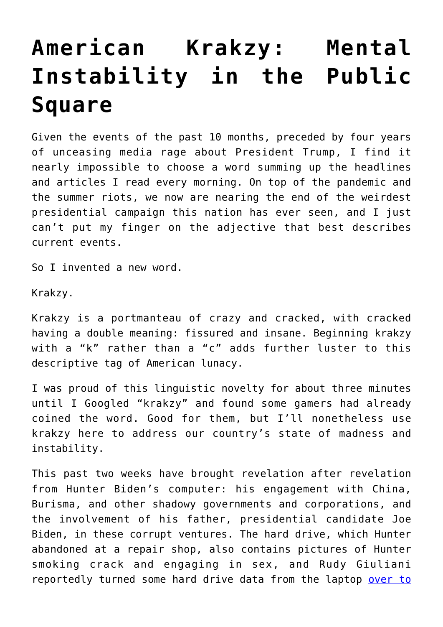## **[American Krakzy: Mental](https://intellectualtakeout.org/2020/10/american-krakzy-mental-instability-in-the-public-square/) [Instability in the Public](https://intellectualtakeout.org/2020/10/american-krakzy-mental-instability-in-the-public-square/) [Square](https://intellectualtakeout.org/2020/10/american-krakzy-mental-instability-in-the-public-square/)**

Given the events of the past 10 months, preceded by four years of unceasing media rage about President Trump, I find it nearly impossible to choose a word summing up the headlines and articles I read every morning. On top of the pandemic and the summer riots, we now are nearing the end of the weirdest presidential campaign this nation has ever seen, and I just can't put my finger on the adjective that best describes current events.

So I invented a new word.

Krakzy.

Krakzy is a portmanteau of crazy and cracked, with cracked having a double meaning: fissured and insane. Beginning krakzy with a "k" rather than a "c" adds further luster to this descriptive tag of American lunacy.

I was proud of this linguistic novelty for about three minutes until I Googled "krakzy" and found some gamers had already coined the word. Good for them, but I'll nonetheless use krakzy here to address our country's state of madness and instability.

This past two weeks have brought revelation after revelation from Hunter Biden's computer: his engagement with China, Burisma, and other shadowy governments and corporations, and the involvement of his father, presidential candidate Joe Biden, in these corrupt ventures. The hard drive, which Hunter abandoned at a repair shop, also contains pictures of Hunter smoking crack and engaging in sex, and Rudy Giuliani reportedly turned some hard drive data from the laptop [over to](https://www.theepochtimes.com/rudy-giuliani-files-police-report-on-alleged-hunter-biden-laptop-claims-child-abuse_3547247.html)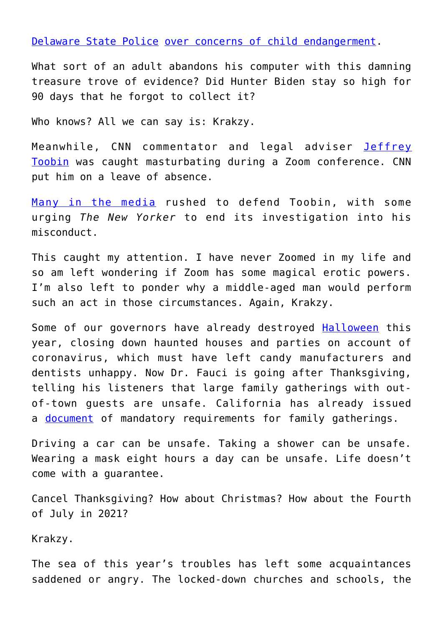[Delaware State Police](https://www.theepochtimes.com/rudy-giuliani-files-police-report-on-alleged-hunter-biden-laptop-claims-child-abuse_3547247.html) [over concerns of child endangerment.](https://twitter.com/DailyCaller/status/1318709652444663808?ref_src=twsrc%5Etfw%7Ctwcamp%5Etweetembed%7Ctwterm%5E1318709652444663808%7Ctwgr%5Eshare_3%2Ccontainerclick_1&ref_url=https%3A%2F%2Fdisrn.com%2Fnews%2Frudy-giuliani-files-police-report-in-connection-with-alleged-hunter-biden-laptop-cites-numerous-pictures-of-underage-girls)

What sort of an adult abandons his computer with this damning treasure trove of evidence? Did Hunter Biden stay so high for 90 days that he forgot to collect it?

Who knows? All we can say is: Krakzy.

Meanwhile, CNN commentator and legal adviser [Jeffrey](https://www.vice.com/en/article/epdgm4/new-yorker-suspends-jeffrey-toobin-for-zoom-dick-incident) [Toobin](https://www.vice.com/en/article/epdgm4/new-yorker-suspends-jeffrey-toobin-for-zoom-dick-incident) was caught masturbating during a Zoom conference. CNN put him on a leave of absence.

[Many in the media](https://www.foxnews.com/media/media-outlets-defend-cnn-jeffrey-toobin-zoom-masturbation-scandal) rushed to defend Toobin, with some urging *The New Yorker* to end its investigation into his misconduct.

This caught my attention. I have never Zoomed in my life and so am left wondering if Zoom has some magical erotic powers. I'm also left to ponder why a middle-aged man would perform such an act in those circumstances. Again, Krakzy.

Some of our governors have already destroyed **[Halloween](https://www.goodhousekeeping.com/holidays/halloween-ideas/a33985792/is-halloween-canceled/)** this year, closing down haunted houses and parties on account of coronavirus, which must have left candy manufacturers and dentists unhappy. Now Dr. Fauci is going after Thanksgiving, telling his listeners that large family gatherings with outof-town guests are unsafe. California has already issued a <u>[document](https://www.cdph.ca.gov/Programs/CID/DCDC/Pages/COVID-19/CDPH-Guidance-for-the-Prevention-of-COVID-19-Transmission-for-Gatherings-10-09.aspx)</u> of mandatory requirements for family gatherings.

Driving a car can be unsafe. Taking a shower can be unsafe. Wearing a mask eight hours a day can be unsafe. Life doesn't come with a guarantee.

Cancel Thanksgiving? How about Christmas? How about the Fourth of July in 2021?

Krakzy.

The sea of this year's troubles has left some acquaintances saddened or angry. The locked-down churches and schools, the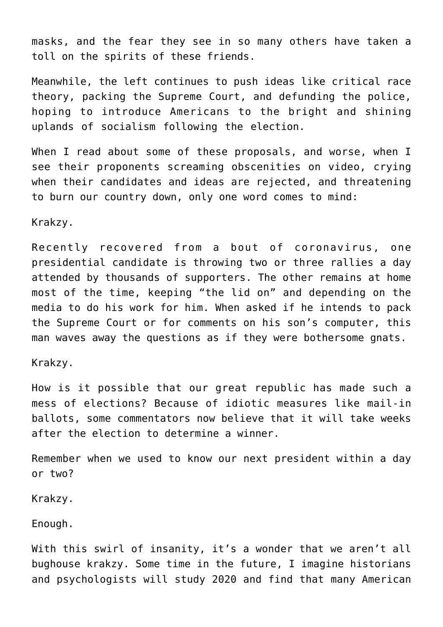masks, and the fear they see in so many others have taken a toll on the spirits of these friends.

Meanwhile, the left continues to push ideas like critical race theory, packing the Supreme Court, and defunding the police, hoping to introduce Americans to the bright and shining uplands of socialism following the election.

When I read about some of these proposals, and worse, when I see their proponents screaming obscenities on video, crying when their candidates and ideas are rejected, and threatening to burn our country down, only one word comes to mind:

Krakzy.

Recently recovered from a bout of coronavirus, one presidential candidate is throwing two or three rallies a day attended by thousands of supporters. The other remains at home most of the time, keeping "the lid on" and depending on the media to do his work for him. When asked if he intends to pack the Supreme Court or for comments on his son's computer, this man waves away the questions as if they were bothersome gnats.

Krakzy.

How is it possible that our great republic has made such a mess of elections? Because of idiotic measures like mail-in ballots, some commentators now believe that it will take weeks after the election to determine a winner.

Remember when we used to know our next president within a day or two?

Krakzy.

Enough.

With this swirl of insanity, it's a wonder that we aren't all bughouse krakzy. Some time in the future, I imagine historians and psychologists will study 2020 and find that many American